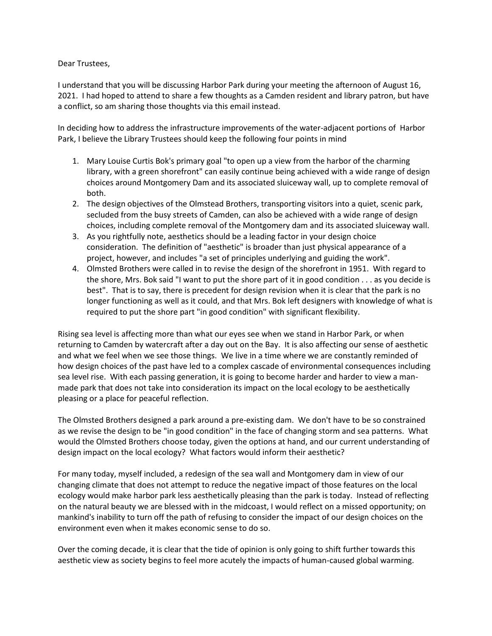Dear Trustees,

I understand that you will be discussing Harbor Park during your meeting the afternoon of August 16, 2021. I had hoped to attend to share a few thoughts as a Camden resident and library patron, but have a conflict, so am sharing those thoughts via this email instead.

In deciding how to address the infrastructure improvements of the water-adjacent portions of Harbor Park, I believe the Library Trustees should keep the following four points in mind

- 1. Mary Louise Curtis Bok's primary goal "to open up a view from the harbor of the charming library, with a green shorefront" can easily continue being achieved with a wide range of design choices around Montgomery Dam and its associated sluiceway wall, up to complete removal of both.
- 2. The design objectives of the Olmstead Brothers, transporting visitors into a quiet, scenic park, secluded from the busy streets of Camden, can also be achieved with a wide range of design choices, including complete removal of the Montgomery dam and its associated sluiceway wall.
- 3. As you rightfully note, aesthetics should be a leading factor in your design choice consideration. The definition of "aesthetic" is broader than just physical appearance of a project, however, and includes "a set of principles underlying and guiding the work".
- 4. Olmsted Brothers were called in to revise the design of the shorefront in 1951. With regard to the shore, Mrs. Bok said "I want to put the shore part of it in good condition . . . as you decide is best". That is to say, there is precedent for design revision when it is clear that the park is no longer functioning as well as it could, and that Mrs. Bok left designers with knowledge of what is required to put the shore part "in good condition" with significant flexibility.

Rising sea level is affecting more than what our eyes see when we stand in Harbor Park, or when returning to Camden by watercraft after a day out on the Bay. It is also affecting our sense of aesthetic and what we feel when we see those things. We live in a time where we are constantly reminded of how design choices of the past have led to a complex cascade of environmental consequences including sea level rise. With each passing generation, it is going to become harder and harder to view a manmade park that does not take into consideration its impact on the local ecology to be aesthetically pleasing or a place for peaceful reflection.

The Olmsted Brothers designed a park around a pre-existing dam. We don't have to be so constrained as we revise the design to be "in good condition" in the face of changing storm and sea patterns. What would the Olmsted Brothers choose today, given the options at hand, and our current understanding of design impact on the local ecology? What factors would inform their aesthetic?

For many today, myself included, a redesign of the sea wall and Montgomery dam in view of our changing climate that does not attempt to reduce the negative impact of those features on the local ecology would make harbor park less aesthetically pleasing than the park is today. Instead of reflecting on the natural beauty we are blessed with in the midcoast, I would reflect on a missed opportunity; on mankind's inability to turn off the path of refusing to consider the impact of our design choices on the environment even when it makes economic sense to do so.

Over the coming decade, it is clear that the tide of opinion is only going to shift further towards this aesthetic view as society begins to feel more acutely the impacts of human-caused global warming.